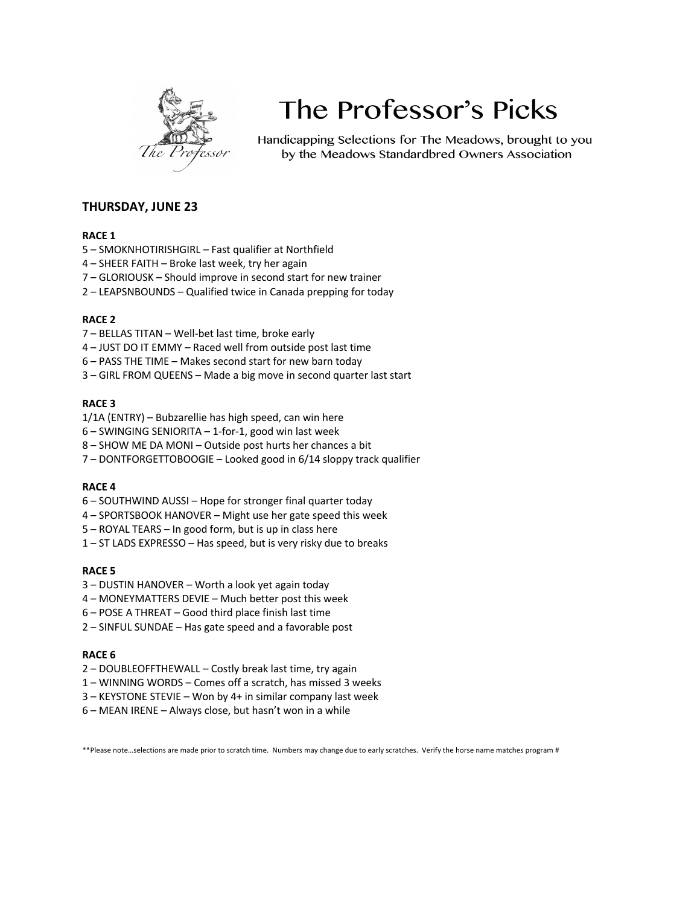

# The Professor's Picks

Handicapping Selections for The Meadows, brought to you by the Meadows Standardbred Owners Association

## **THURSDAY, JUNE 23**

### **RACE 1**

- 5 SMOKNHOTIRISHGIRL Fast qualifier at Northfield
- 4 SHEER FAITH Broke last week, try her again
- 7 GLORIOUSK Should improve in second start for new trainer
- 2 LEAPSNBOUNDS Qualified twice in Canada prepping for today

#### **RACE 2**

- 7 BELLAS TITAN Well-bet last time, broke early
- 4 JUST DO IT EMMY Raced well from outside post last time
- 6 PASS THE TIME Makes second start for new barn today
- 3 GIRL FROM QUEENS Made a big move in second quarter last start

#### **RACE 3**

- 1/1A (ENTRY) Bubzarellie has high speed, can win here
- 6 SWINGING SENIORITA 1-for-1, good win last week
- 8 SHOW ME DA MONI Outside post hurts her chances a bit
- 7 DONTFORGETTOBOOGIE Looked good in 6/14 sloppy track qualifier

#### **RACE 4**

- 6 SOUTHWIND AUSSI Hope for stronger final quarter today
- 4 SPORTSBOOK HANOVER Might use her gate speed this week
- 5 ROYAL TEARS In good form, but is up in class here
- 1 ST LADS EXPRESSO Has speed, but is very risky due to breaks

#### **RACE 5**

- 3 DUSTIN HANOVER Worth a look yet again today
- 4 MONEYMATTERS DEVIE Much better post this week
- 6 POSE A THREAT Good third place finish last time
- 2 SINFUL SUNDAE Has gate speed and a favorable post

#### **RACE 6**

- 2 DOUBLEOFFTHEWALL Costly break last time, try again
- 1 WINNING WORDS Comes off a scratch, has missed 3 weeks
- 3 KEYSTONE STEVIE Won by 4+ in similar company last week
- 6 MEAN IRENE Always close, but hasn't won in a while

\*\*Please note…selections are made prior to scratch time. Numbers may change due to early scratches. Verify the horse name matches program #